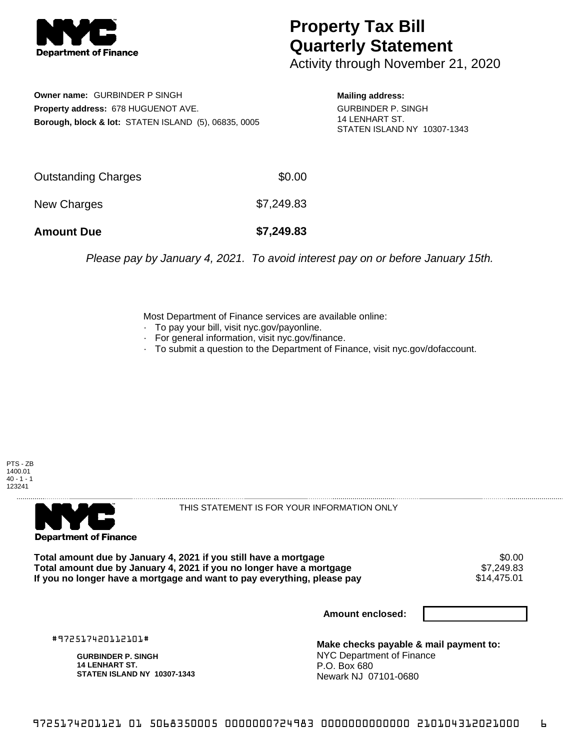

## **Property Tax Bill Quarterly Statement**

Activity through November 21, 2020

**Owner name:** GURBINDER P SINGH **Property address:** 678 HUGUENOT AVE. **Borough, block & lot:** STATEN ISLAND (5), 06835, 0005 **Mailing address:** GURBINDER P. SINGH 14 LENHART ST.

STATEN ISLAND NY 10307-1343

Outstanding Charges \$0.00 New Charges \$7,249.83 **Amount Due \$7,249.83**

Please pay by January 4, 2021. To avoid interest pay on or before January 15th.

Most Department of Finance services are available online:

- · To pay your bill, visit nyc.gov/payonline.
- For general information, visit nyc.gov/finance.
- · To submit a question to the Department of Finance, visit nyc.gov/dofaccount.

PTS - ZB 1400.01  $40 - 1 - 1$ 123241



THIS STATEMENT IS FOR YOUR INFORMATION ONLY

Total amount due by January 4, 2021 if you still have a mortgage \$0.00<br>Total amount due by January 4, 2021 if you no longer have a mortgage \$7.249.83 **Total amount due by January 4, 2021 if you no longer have a mortgage** \$7,249.83 If you no longer have a mortgage and want to pay everything, please pay

**Amount enclosed:**

#972517420112101#

**GURBINDER P. SINGH 14 LENHART ST. STATEN ISLAND NY 10307-1343**

**Make checks payable & mail payment to:** NYC Department of Finance P.O. Box 680 Newark NJ 07101-0680